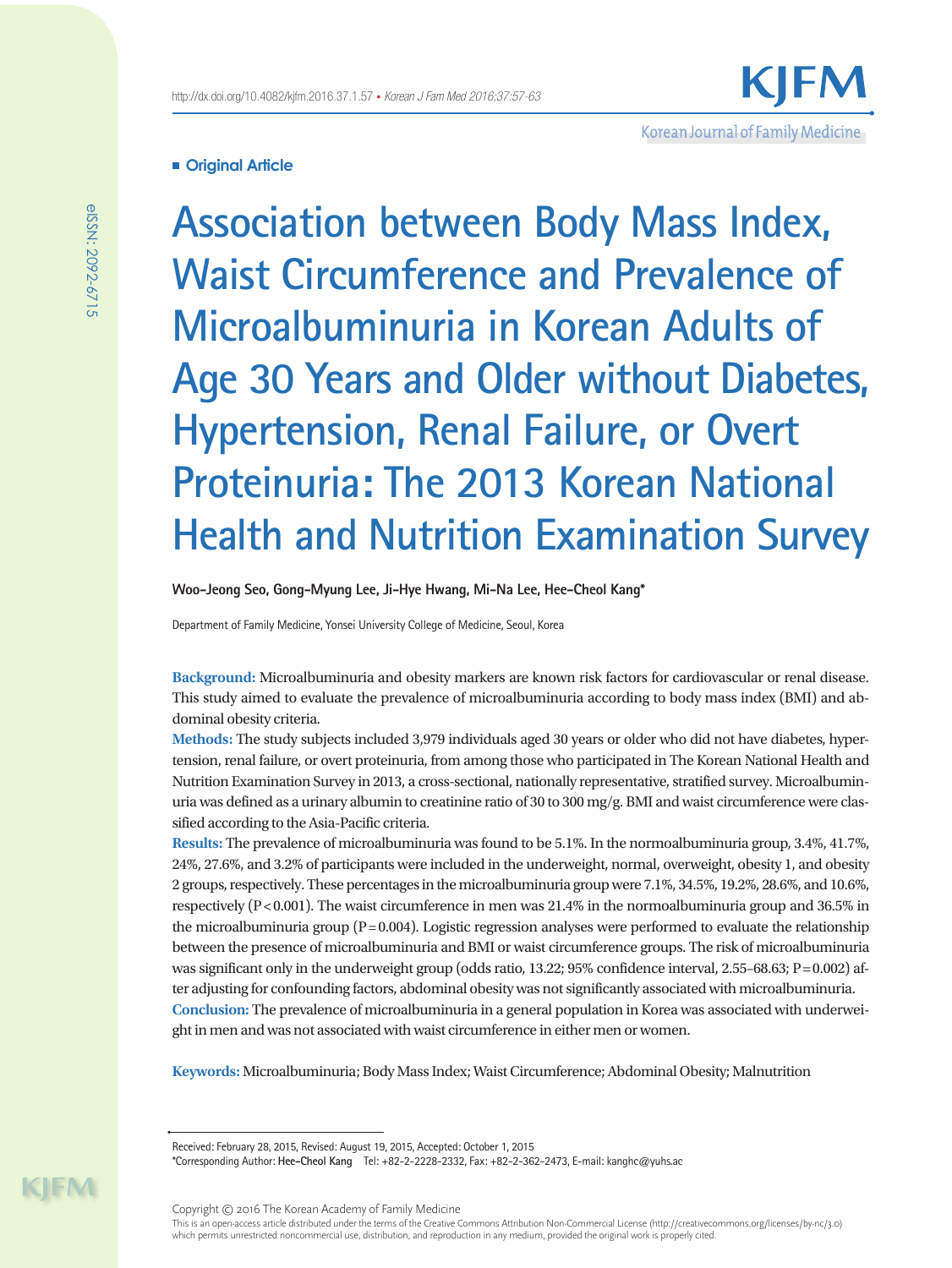# **Original Article**

**Association between Body Mass Index, Waist Circumference and Prevalence of Microalbuminuria in Korean Adults of Age 30 Years and Older without Diabetes, Hypertension, Renal Failure, or Overt Proteinuria: The 2013 Korean National Health and Nutrition Examination Survey**

Korean Journal of Family Medicine

**Woo-Jeong Seo, Gong-Myung Lee, Ji-Hye Hwang, Mi-Na Lee, Hee-Cheol Kang\***

Department of Family Medicine, Yonsei University College of Medicine, Seoul, Korea

**Background:** Microalbuminuria and obesity markers are known risk factors for cardiovascular or renal disease. This study aimed to evaluate the prevalence of microalbuminuria according to body mass index (BMI) and abdominal obesity criteria.

**Methods:** The study subjects included 3,979 individuals aged 30 years or older who did not have diabetes, hypertension, renal failure, or overt proteinuria, from among those who participated in The Korean National Health and Nutrition Examination Survey in 2013, a cross-sectional, nationally representative, stratified survey. Microalbuminuria was defined as a urinary albumin to creatinine ratio of 30 to 300 mg/g. BMI and waist circumference were classified according to the Asia-Pacific criteria.

**Results:** The prevalence of microalbuminuria was found to be 5.1%. In the normoalbuminuria group, 3.4%, 41.7%, 24%, 27.6%, and 3.2% of participants were included in the underweight, normal, overweight, obesity 1, and obesity 2 groups, respectively. These percentages in the microalbuminuria group were 7.1%, 34.5%, 19.2%, 28.6%, and 10.6%, respectively  $(P<0.001)$ . The waist circumference in men was 21.4% in the normoalbuminuria group and 36.5% in the microalbuminuria group ( $P=0.004$ ). Logistic regression analyses were performed to evaluate the relationship between the presence of microalbuminuria and BMI or waist circumference groups. The risk of microalbuminuria was significant only in the underweight group (odds ratio, 13.22;  $95\%$  confidence interval, 2.55–68.63; P=0.002) after adjusting for confounding factors, abdominal obesity was not significantly associated with microalbuminuria. **Conclusion:** The prevalence of microalbuminuria in a general population in Korea was associated with underweight in men and was not associated with waist circumference in either men or women.

**Keywords:** Microalbuminuria; Body Mass Index; Waist Circumference; Abdominal Obesity; Malnutrition

Received: February 28, 2015, Revised: August 19, 2015, Accepted: October 1, 2015

\*Corresponding Author: **Hee-Cheol Kang** Tel: +82-2-2228-2332, Fax: +82-2-362-2473, E-mail: kanghc@yuhs.ac

Copyright © 2016 The Korean Academy of Family Medicine

This is an open-access article distributed under the terms of the Creative Commons Attribution Non-Commercial License (http://creativecommons.org/licenses/by-nc/3.0) which permits unrestricted noncommercial use, distribution, and reproduction in any medium, provided the original work is properly cited.

KIM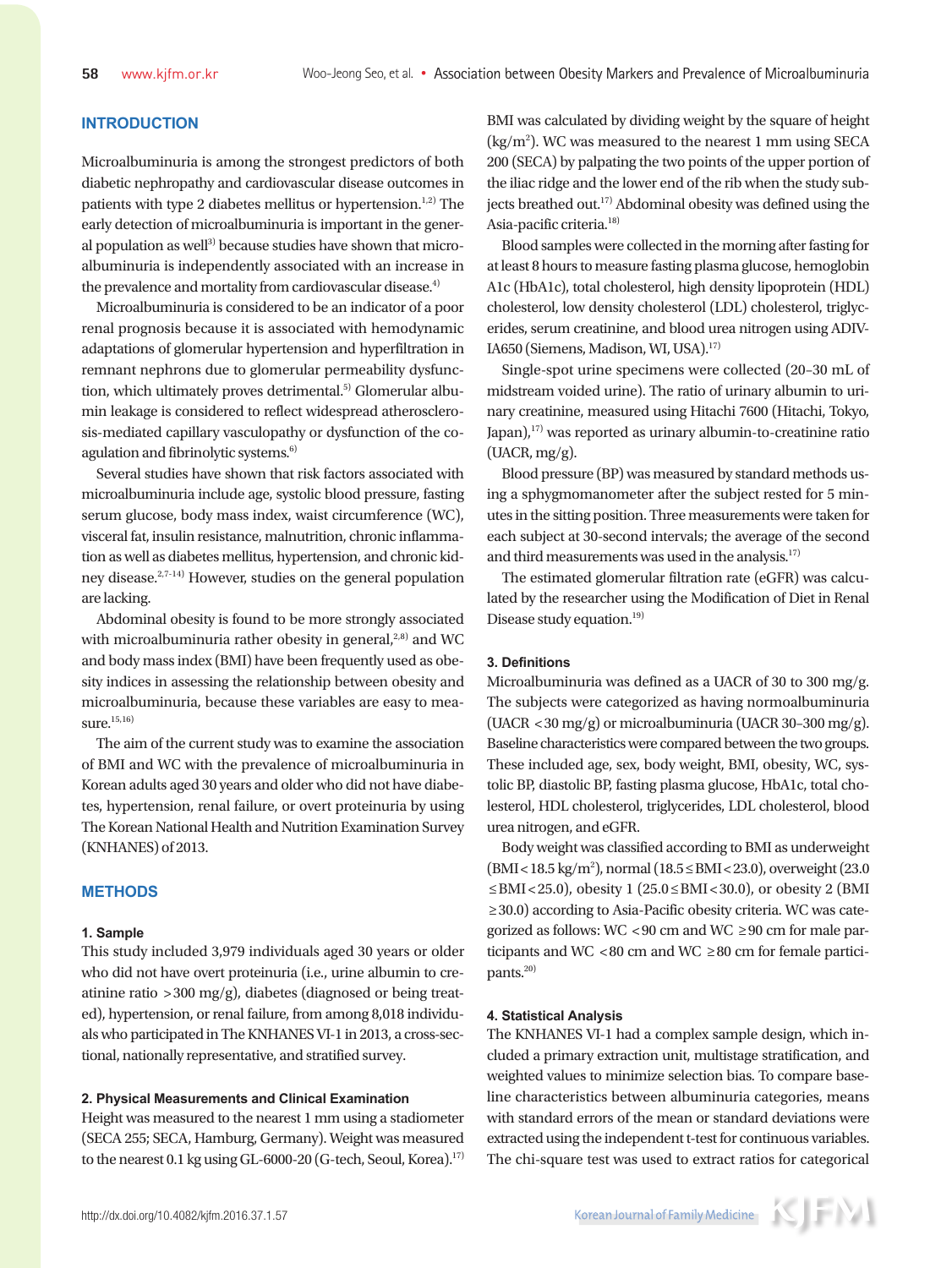# **INTRODUCTION**

Microalbuminuria is among the strongest predictors of both diabetic nephropathy and cardiovascular disease outcomes in patients with type 2 diabetes mellitus or hypertension. $1,2$ <sup>2</sup> The early detection of microalbuminuria is important in the general population as well<sup>3)</sup> because studies have shown that microalbuminuria is independently associated with an increase in the prevalence and mortality from cardiovascular disease.<sup>4)</sup>

Microalbuminuria is considered to be an indicator of a poor renal prognosis because it is associated with hemodynamic adaptations of glomerular hypertension and hyperfiltration in remnant nephrons due to glomerular permeability dysfunction, which ultimately proves detrimental.<sup>5)</sup> Glomerular albumin leakage is considered to reflect widespread atherosclerosis-mediated capillary vasculopathy or dysfunction of the coagulation and fibrinolytic systems. $6$ )

Several studies have shown that risk factors associated with microalbuminuria include age, systolic blood pressure, fasting serum glucose, body mass index, waist circumference (WC), visceral fat, insulin resistance, malnutrition, chronic inflammation as well as diabetes mellitus, hypertension, and chronic kidney disease.2,7-14) However, studies on the general population are lacking.

Abdominal obesity is found to be more strongly associated with microalbuminuria rather obesity in general, $2,8$ ) and WC and body mass index (BMI) have been frequently used as obesity indices in assessing the relationship between obesity and microalbuminuria, because these variables are easy to measure.<sup>15,16)</sup>

The aim of the current study was to examine the association of BMI and WC with the prevalence of microalbuminuria in Korean adults aged 30 years and older who did not have diabetes, hypertension, renal failure, or overt proteinuria by using The Korean National Health and Nutrition Examination Survey (KNHANES) of 2013.

### **METHODS**

#### **1. Sample**

This study included 3,979 individuals aged 30 years or older who did not have overt proteinuria (i.e., urine albumin to creatinine ratio >300 mg/g), diabetes (diagnosed or being treated), hypertension, or renal failure, from among 8,018 individuals who participated in The KNHANES VI-1 in 2013, a cross-sectional, nationally representative, and stratified survey.

### **2. Physical Measurements and Clinical Examination**

Height was measured to the nearest 1 mm using a stadiometer (SECA 255; SECA, Hamburg, Germany). Weight was measured to the nearest 0.1 kg using GL-6000-20 (G-tech, Seoul, Korea).<sup>17)</sup> BMI was calculated by dividing weight by the square of height  $(kg/m<sup>2</sup>)$ . WC was measured to the nearest 1 mm using SECA 200 (SECA) by palpating the two points of the upper portion of the iliac ridge and the lower end of the rib when the study subjects breathed out.<sup>17)</sup> Abdominal obesity was defined using the Asia-pacific criteria.18)

Blood samples were collected in the morning after fasting for at least 8 hours to measure fasting plasma glucose, hemoglobin A1c (HbA1c), total cholesterol, high density lipoprotein (HDL) cholesterol, low density cholesterol (LDL) cholesterol, triglycerides, serum creatinine, and blood urea nitrogen using ADIV-IA650 (Siemens, Madison, WI, USA).17)

Single-spot urine specimens were collected (20–30 mL of midstream voided urine). The ratio of urinary albumin to urinary creatinine, measured using Hitachi 7600 (Hitachi, Tokyo, Japan), $17$ ) was reported as urinary albumin-to-creatinine ratio (UACR, mg/g).

Blood pressure (BP) was measured by standard methods using a sphygmomanometer after the subject rested for 5 minutes in the sitting position. Three measurements were taken for each subject at 30-second intervals; the average of the second and third measurements was used in the analysis.<sup>17)</sup>

The estimated glomerular filtration rate (eGFR) was calculated by the researcher using the Modification of Diet in Renal Disease study equation.<sup>19)</sup>

### **3. Definitions**

Microalbuminuria was defined as a UACR of 30 to 300 mg/g. The subjects were categorized as having normoalbuminuria (UACR <30 mg/g) or microalbuminuria (UACR 30–300 mg/g). Baseline characteristics were compared between the two groups. These included age, sex, body weight, BMI, obesity, WC, systolic BP, diastolic BP, fasting plasma glucose, HbA1c, total cholesterol, HDL cholesterol, triglycerides, LDL cholesterol, blood urea nitrogen, and eGFR.

Body weight was classified according to BMI as underweight (BMI<18.5 kg/m2 ), normal (18.5≤BMI<23.0), overweight (23.0 ≤BMI <25.0), obesity 1 (25.0 ≤BMI <30.0), or obesity 2 (BMI ≥30.0) according to Asia-Pacific obesity criteria. WC was categorized as follows: WC <90 cm and WC  $\geq$ 90 cm for male participants and WC <80 cm and WC ≥80 cm for female participants.<sup>20)</sup>

#### **4. Statistical Analysis**

The KNHANES VI-1 had a complex sample design, which included a primary extraction unit, multistage stratification, and weighted values to minimize selection bias. To compare baseline characteristics between albuminuria categories, means with standard errors of the mean or standard deviations were extracted using the independent t-test for continuous variables. The chi-square test was used to extract ratios for categorical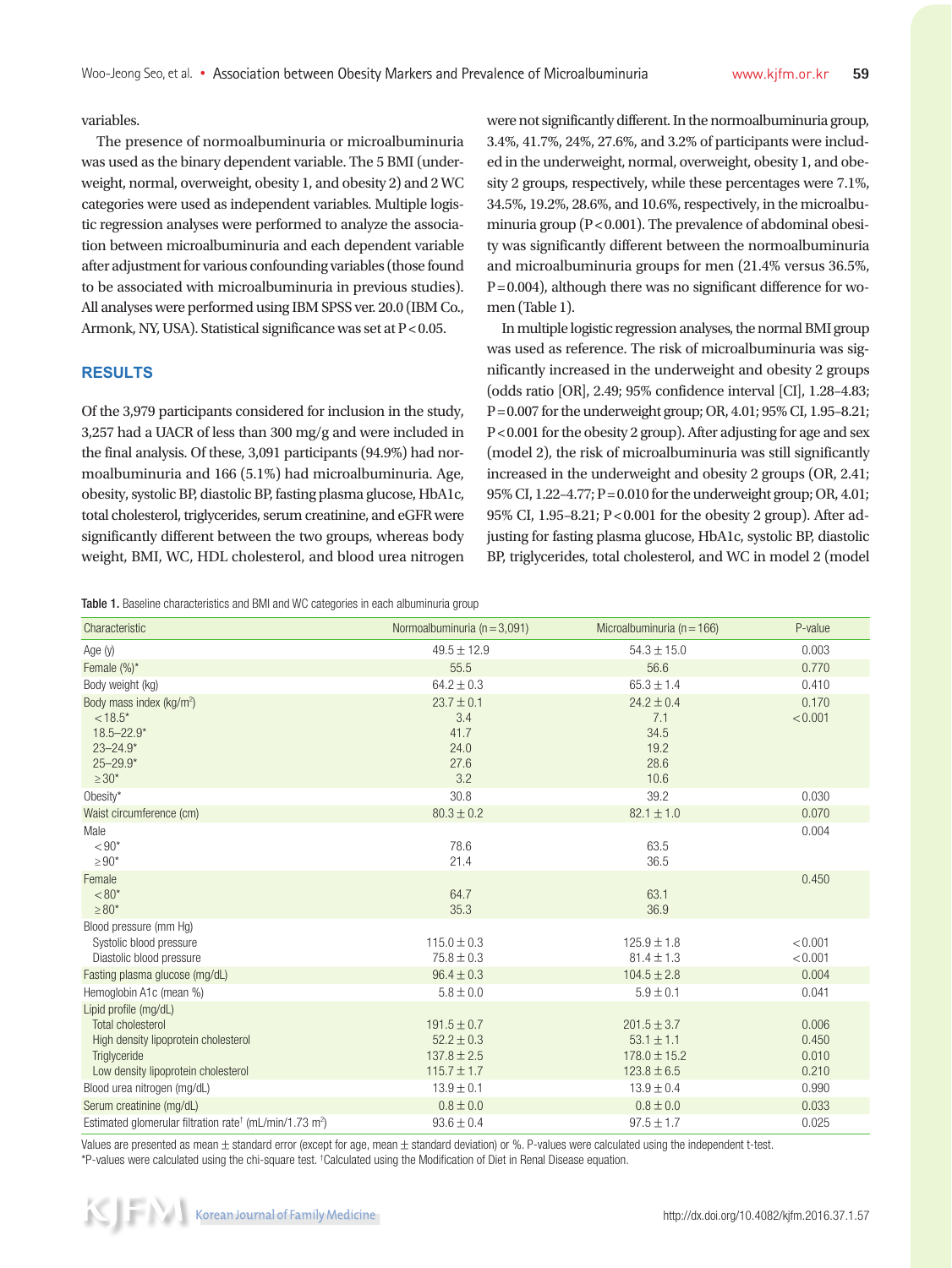variables.

The presence of normoalbuminuria or microalbuminuria was used as the binary dependent variable. The 5 BMI (underweight, normal, overweight, obesity 1, and obesity 2) and 2 WC categories were used as independent variables. Multiple logistic regression analyses were performed to analyze the association between microalbuminuria and each dependent variable after adjustment for various confounding variables (those found to be associated with microalbuminuria in previous studies). All analyses were performed using IBM SPSS ver. 20.0 (IBM Co., Armonk, NY, USA). Statistical significance was set at  $P < 0.05$ .

### **RESULTS**

Of the 3,979 participants considered for inclusion in the study, 3,257 had a UACR of less than 300 mg/g and were included in the final analysis. Of these, 3,091 participants (94.9%) had normoalbuminuria and 166 (5.1%) had microalbuminuria. Age, obesity, systolic BP, diastolic BP, fasting plasma glucose, HbA1c, total cholesterol, triglycerides, serum creatinine, and eGFR were significantly different between the two groups, whereas body weight, BMI, WC, HDL cholesterol, and blood urea nitrogen were not significantly different. In the normoalbuminuria group, 3.4%, 41.7%, 24%, 27.6%, and 3.2% of participants were included in the underweight, normal, overweight, obesity 1, and obesity 2 groups, respectively, while these percentages were 7.1%, 34.5%, 19.2%, 28.6%, and 10.6%, respectively, in the microalbuminuria group ( $P < 0.001$ ). The prevalence of abdominal obesity was significantly different between the normoalbuminuria and microalbuminuria groups for men (21.4% versus 36.5%,  $P=0.004$ ), although there was no significant difference for women (Table 1).

In multiple logistic regression analyses, the normal BMI group was used as reference. The risk of microalbuminuria was significantly increased in the underweight and obesity 2 groups (odds ratio [OR], 2.49; 95% confidence interval [CI], 1.28–4.83; P=0.007 for the underweight group; OR, 4.01; 95% CI, 1.95–8.21; P<0.001 for the obesity 2 group). After adjusting for age and sex (model 2), the risk of microalbuminuria was still significantly increased in the underweight and obesity 2 groups (OR, 2.41; 95% CI, 1.22–4.77; P=0.010 for the underweight group; OR, 4.01; 95% CI, 1.95-8.21; P<0.001 for the obesity 2 group). After adjusting for fasting plasma glucose, HbA1c, systolic BP, diastolic BP, triglycerides, total cholesterol, and WC in model 2 (model

Table 1. Baseline characteristics and BMI and WC categories in each albuminuria group

| Characteristic                                                                  | Normoalbuminuria ( $n = 3.091$ )  | Microalbuminuria ( $n = 166$ )     | P-value            |
|---------------------------------------------------------------------------------|-----------------------------------|------------------------------------|--------------------|
| Age (y)                                                                         | $49.5 \pm 12.9$                   | $54.3 \pm 15.0$                    | 0.003              |
| Female (%)*                                                                     | 55.5                              | 56.6                               | 0.770              |
| Body weight (kg)                                                                | $64.2 \pm 0.3$                    | $65.3 \pm 1.4$                     | 0.410              |
| Body mass index (kg/m <sup>2</sup> )<br>$< 18.5*$                               | $23.7 \pm 0.1$<br>3.4             | $24.2 \pm 0.4$<br>7.1              | 0.170<br>< 0.001   |
| $18.5 - 22.9*$<br>$23 - 24.9*$                                                  | 41.7<br>24.0                      | 34.5<br>19.2                       |                    |
| $25 - 29.9*$<br>$\geq 30^*$                                                     | 27.6<br>3.2                       | 28.6<br>10.6                       |                    |
| Obesity*                                                                        | 30.8                              | 39.2                               | 0.030              |
| Waist circumference (cm)                                                        | $80.3 \pm 0.2$                    | $82.1 \pm 1.0$                     | 0.070              |
| Male<br>$< 90*$<br>$\geq 90*$                                                   | 78.6<br>21.4                      | 63.5<br>36.5                       | 0.004              |
| Female<br>$< 80*$<br>$\geq 80*$                                                 | 64.7<br>35.3                      | 63.1<br>36.9                       | 0.450              |
| Blood pressure (mm Hg)<br>Systolic blood pressure<br>Diastolic blood pressure   | $115.0 \pm 0.3$<br>$75.8 \pm 0.3$ | $125.9 \pm 1.8$<br>$81.4 \pm 1.3$  | < 0.001<br>< 0.001 |
| Fasting plasma glucose (mg/dL)                                                  | $96.4 \pm 0.3$                    | $104.5 \pm 2.8$                    | 0.004              |
| Hemoglobin A1c (mean %)                                                         | $5.8 \pm 0.0$                     | $5.9 \pm 0.1$                      | 0.041              |
| Lipid profile (mg/dL)<br><b>Total cholesterol</b>                               | $191.5 \pm 0.7$                   | $201.5 \pm 3.7$                    | 0.006              |
| High density lipoprotein cholesterol<br>Triglyceride                            | $52.2 \pm 0.3$<br>$137.8 \pm 2.5$ | $53.1 \pm 1.1$<br>$178.0 \pm 15.2$ | 0.450<br>0.010     |
| Low density lipoprotein cholesterol                                             | $115.7 \pm 1.7$                   | $123.8 \pm 6.5$                    | 0.210              |
| Blood urea nitrogen (mg/dL)                                                     | $13.9 \pm 0.1$                    | $13.9 \pm 0.4$                     | 0.990              |
| Serum creatinine (mq/dL)                                                        | $0.8 \pm 0.0$                     | $0.8 \pm 0.0$                      | 0.033              |
| Estimated glomerular filtration rate <sup>†</sup> (mL/min/1.73 m <sup>2</sup> ) | $93.6 \pm 0.4$                    | $97.5 \pm 1.7$                     | 0.025              |

Values are presented as mean  $\pm$  standard error (except for age, mean  $\pm$  standard deviation) or %. P-values were calculated using the independent t-test. \*P-values were calculated using the chi-square test. <sup>†</sup>Calculated using the Modification of Diet in Renal Disease equation.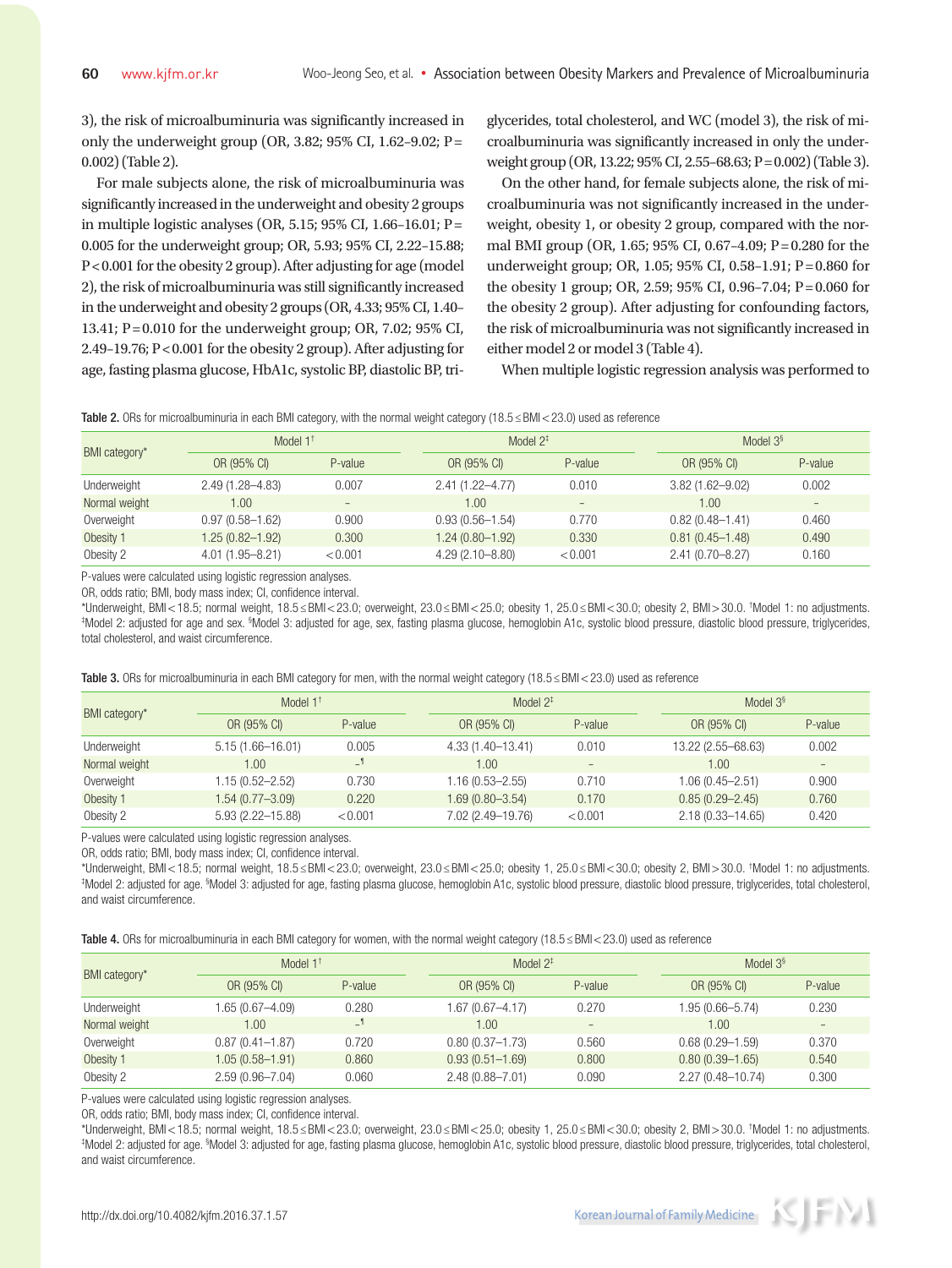3), the risk of microalbuminuria was significantly increased in only the underweight group (OR, 3.82; 95% CI, 1.62–9.02;  $P =$ 0.002) (Table 2).

For male subjects alone, the risk of microalbuminuria was significantly increased in the underweight and obesity 2 groups in multiple logistic analyses (OR, 5.15; 95% CI, 1.66–16.01; P= 0.005 for the underweight group; OR, 5.93; 95% CI, 2.22–15.88; P<0.001 for the obesity 2 group). After adjusting for age (model 2), the risk of microalbuminuria was still significantly increased in the underweight and obesity 2 groups (OR, 4.33; 95% CI, 1.40– 13.41; P =0.010 for the underweight group; OR, 7.02; 95% CI, 2.49–19.76; P<0.001 for the obesity 2 group). After adjusting for age, fasting plasma glucose, HbA1c, systolic BP, diastolic BP, tri-

glycerides, total cholesterol, and WC (model 3), the risk of microalbuminuria was significantly increased in only the underweight group (OR, 13.22; 95% CI, 2.55–68.63; P=0.002) (Table 3).

On the other hand, for female subjects alone, the risk of microalbuminuria was not significantly increased in the underweight, obesity 1, or obesity 2 group, compared with the normal BMI group (OR, 1.65; 95% CI, 0.67–4.09;  $P = 0.280$  for the underweight group; OR, 1.05;  $95\%$  CI, 0.58–1.91; P=0.860 for the obesity 1 group; OR, 2.59; 95% CI, 0.96–7.04;  $P = 0.060$  for the obesity 2 group). After adjusting for confounding factors, the risk of microalbuminuria was not significantly increased in either model 2 or model 3 (Table 4).

When multiple logistic regression analysis was performed to



| BMI category* | Model $1^+$         |                   | Model $2^*$         |                   |                     | Model $3§$        |  |  |  |
|---------------|---------------------|-------------------|---------------------|-------------------|---------------------|-------------------|--|--|--|
|               | OR (95% CI)         | P-value           | OR (95% CI)         | P-value           | OR (95% CI)         | P-value           |  |  |  |
| Underweight   | $2.49(1.28 - 4.83)$ | 0.007             | $2.41(1.22 - 4.77)$ | 0.010             | $3.82(1.62 - 9.02)$ | 0.002             |  |  |  |
| Normal weight | 00.1                | $\qquad \qquad =$ | 1.00.               | $\qquad \qquad -$ | 1.00                | $\qquad \qquad -$ |  |  |  |
| Overweight    | $0.97(0.58 - 1.62)$ | 0.900             | $0.93(0.56 - 1.54)$ | 0.770             | $0.82(0.48 - 1.41)$ | 0.460             |  |  |  |
| Obesity 1     | $1.25(0.82 - 1.92)$ | 0.300             | $1.24(0.80 - 1.92)$ | 0.330             | $0.81(0.45 - 1.48)$ | 0.490             |  |  |  |
| Obesity 2     | $4.01(1.95 - 8.21)$ | < 0.001           | $4.29(2.10 - 8.80)$ | < 0.001           | $2.41(0.70 - 8.27)$ | 0.160             |  |  |  |

P-values were calculated using logistic regression analyses.

OR, odds ratio; BMI, body mass index; CI, confidence interval.

\*Underweight, BMI < 18.5; normal weight, 18.5 ≤ BMI < 23.0; overweight, 23.0 ≤ BMI < 25.0; obesity 1, 25.0 ≤ BMI < 30.0; obesity 2, BMI > 30.0. † Model 1: no adjustments. ‡ Model 2: adjusted for age and sex. <sup>§</sup>Model 3: adjusted for age, sex, fasting plasma glucose, hemoglobin A1c, systolic blood pressure, diastolic blood pressure, triglycerides, total cholesterol, and waist circumference.

|  |  |  |  | Table 3. ORs for microalbuminuria in each BMI category for men, with the normal weight category (18.5 $\leq$ BMI < 23.0) used as reference |
|--|--|--|--|--------------------------------------------------------------------------------------------------------------------------------------------|
|  |  |  |  |                                                                                                                                            |

| BMI category* | Model $1^+$          |         | Model $2^{\ddagger}$ |                          | Model $3§$           |                          |  |  |  |
|---------------|----------------------|---------|----------------------|--------------------------|----------------------|--------------------------|--|--|--|
|               | OR (95% CI)          | P-value | OR (95% CI)          | P-value                  | OR (95% CI)          | P-value                  |  |  |  |
| Underweight   | $5.15(1.66 - 16.01)$ | 0.005   | 4.33 (1.40–13.41)    | 0.010                    | 13.22 (2.55-68.63)   | 0.002                    |  |  |  |
| Normal weight | 1.00                 | $-1$    | 1.00.                | $\overline{\phantom{a}}$ | 1.00.                | $\overline{\phantom{a}}$ |  |  |  |
| Overweight    | $1.15(0.52 - 2.52)$  | 0.730   | 1.16 (0.53-2.55)     | 0.710                    | $1.06(0.45 - 2.51)$  | 0.900                    |  |  |  |
| Obesity 1     | 1.54 (0.77—3.09)     | 0.220   | 1.69 (0.80-3.54)     | 0.170                    | $0.85(0.29 - 2.45)$  | 0.760                    |  |  |  |
| Obesity 2     | $5.93(2.22 - 15.88)$ | < 0.001 | 7.02 (2.49-19.76)    | < 0.001                  | $2.18(0.33 - 14.65)$ | 0.420                    |  |  |  |

P-values were calculated using logistic regression analyses.

OR, odds ratio; BMI, body mass index; CI, confidence interval.

\*Underweight, BMI < 18.5; normal weight, 18.5 ≤ BMI < 23.0; overweight, 23.0 ≤ BMI < 25.0; obesity 1, 25.0 ≤ BMI < 30.0; obesity 2, BMI > 30.0. † Model 1: no adjustments. ‡ Model 2: adjusted for age. <sup>§</sup>Model 3: adjusted for age, fasting plasma glucose, hemoglobin A1c, systolic blood pressure, diastolic blood pressure, triglycerides, total cholesterol, and waist circumference.

| Table 4. ORs for microalbuminuria in each BMI category for women, with the normal weight category (18.5≤BMI<23.0) used as reference |  |  |  |  |  |  |  |  |  |  |  |  |  |  |  |  |  |  |  |  |  |  |  |  |  |  |  |  |
|-------------------------------------------------------------------------------------------------------------------------------------|--|--|--|--|--|--|--|--|--|--|--|--|--|--|--|--|--|--|--|--|--|--|--|--|--|--|--|--|
|-------------------------------------------------------------------------------------------------------------------------------------|--|--|--|--|--|--|--|--|--|--|--|--|--|--|--|--|--|--|--|--|--|--|--|--|--|--|--|--|

| BMI category* | Model $1^+$         |         | Model $2^+$         |                   | Model $3§$           |                   |  |  |  |
|---------------|---------------------|---------|---------------------|-------------------|----------------------|-------------------|--|--|--|
|               | OR (95% CI)         | P-value | OR (95% CI)         | P-value           | OR (95% CI)          | P-value           |  |  |  |
| Underweight   | 1.65 (0.67-4.09)    | 0.280   | 1.67 (0.67-4.17)    | 0.270             | $1.95(0.66 - 5.74)$  | 0.230             |  |  |  |
| Normal weight | 1.00                | $\Box$  | 1.00                | $\qquad \qquad -$ | 1.00                 | $\qquad \qquad -$ |  |  |  |
| Overweight    | $0.87(0.41 - 1.87)$ | 0.720   | $0.80(0.37 - 1.73)$ | 0.560             | $0.68(0.29 - 1.59)$  | 0.370             |  |  |  |
| Obesity 1     | 1.05 (0.58-1.91)    | 0.860   | $0.93(0.51 - 1.69)$ | 0.800             | $0.80(0.39 - 1.65)$  | 0.540             |  |  |  |
| Obesity 2     | $2.59(0.96 - 7.04)$ | 0.060   | $2.48(0.88 - 7.01)$ | 0.090             | $2.27(0.48 - 10.74)$ | 0.300             |  |  |  |

P-values were calculated using logistic regression analyses.

OR, odds ratio; BMI, body mass index; CI, confidence interval.

\*Underweight, BMI < 18.5; normal weight, 18.5 ≤ BMI < 23.0; overweight, 23.0 ≤ BMI < 25.0; obesity 1, 25.0 ≤ BMI < 30.0; obesity 2, BMI > 30.0. † Model 1: no adjustments. ‡ Model 2: adjusted for age. <sup>§</sup>Model 3: adjusted for age, fasting plasma glucose, hemoglobin A1c, systolic blood pressure, diastolic blood pressure, triglycerides, total cholesterol, and waist circumference.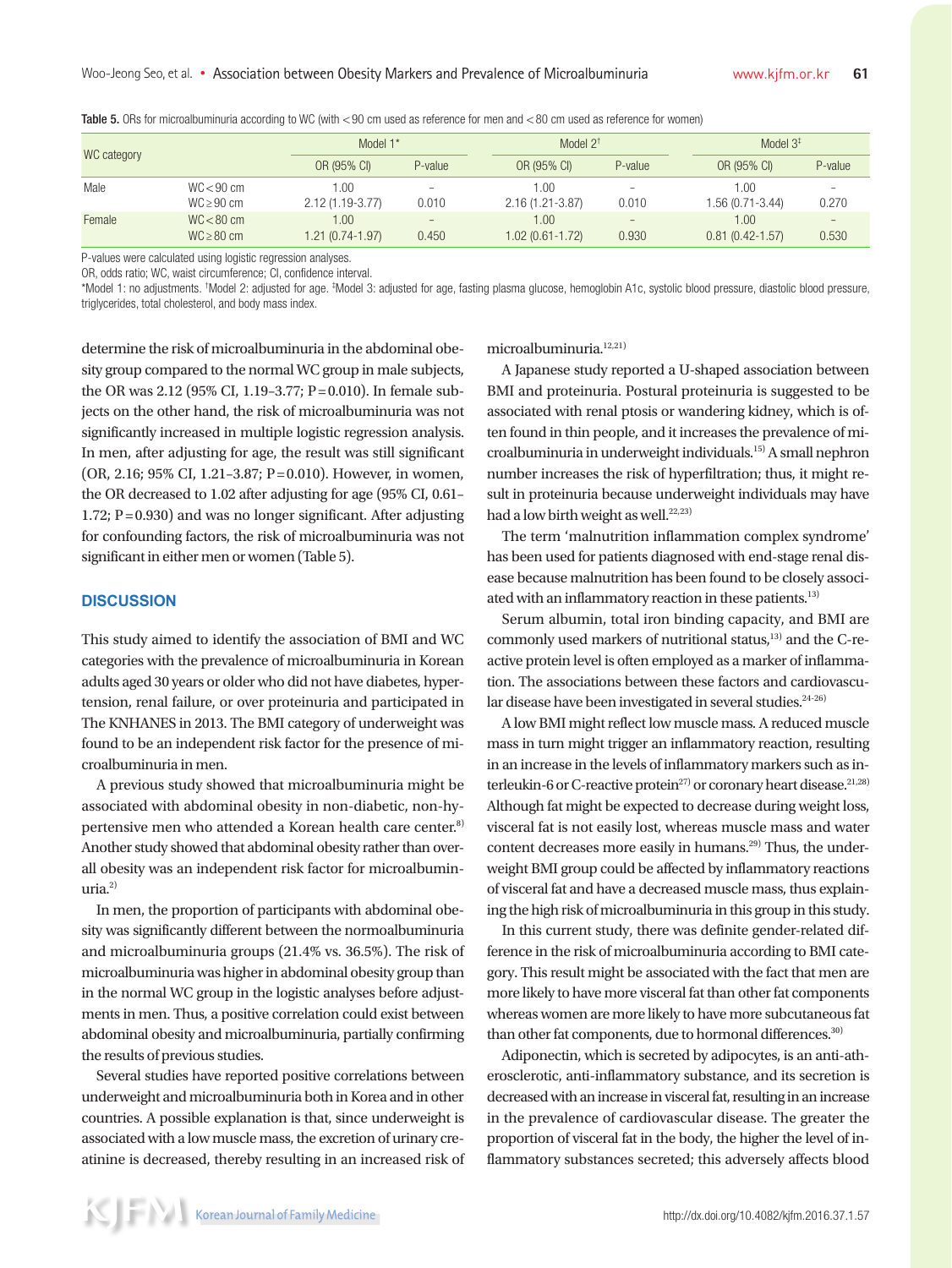| WC category |                | Model 1*               |                          | Model $2^+$         |                          | Model $3‡$          |                   |  |  |  |
|-------------|----------------|------------------------|--------------------------|---------------------|--------------------------|---------------------|-------------------|--|--|--|
|             |                | OR (95% CI)<br>P-value |                          | OR (95% CI)         | P-value                  | OR (95% CI)         | P-value           |  |  |  |
| Male        | $WC < 90$ cm   | 1.00                   | $\overline{\phantom{a}}$ | 1.00                | $\overline{\phantom{a}}$ | 1.00                | $\equiv$          |  |  |  |
|             | $WC \ge 90$ cm | $2.12(1.19-3.77)$      | 0.010                    | $2.16(1.21 - 3.87)$ | 0.010                    | 1.56 (0.71-3.44)    | 0.270             |  |  |  |
| Female      | $WC < 80$ cm   | 1.00.                  | $\overline{\phantom{a}}$ | 1.00                | $\overline{\phantom{a}}$ | 1.00                | $\qquad \qquad -$ |  |  |  |
|             | $WC \ge 80$ cm | 1.21 (0.74-1.97)       | 0.450                    | 1.02 (0.61-1.72)    | 0.930                    | $0.81(0.42 - 1.57)$ | 0.530             |  |  |  |

Table 5. ORs for microalbuminuria according to WC (with <90 cm used as reference for men and <80 cm used as reference for women)

P-values were calculated using logistic regression analyses.

OR, odds ratio; WC, waist circumference; CI, confidence interval.

\*Model 1: no adjustments. †Model 2: adjusted for age. ‡Model 3: adjusted for age, fasting plasma glucose, hemoglobin A1c, systolic blood pressure, diastolic blood pressure, triglycerides, total cholesterol, and body mass index.

determine the risk of microalbuminuria in the abdominal obesity group compared to the normal WC group in male subjects, the OR was 2.12 (95% CI, 1.19-3.77; P = 0.010). In female subjects on the other hand, the risk of microalbuminuria was not significantly increased in multiple logistic regression analysis. In men, after adjusting for age, the result was still significant (OR, 2.16; 95% CI, 1.21-3.87; P=0.010). However, in women, the OR decreased to 1.02 after adjusting for age (95% CI, 0.61– 1.72;  $P = 0.930$  and was no longer significant. After adjusting for confounding factors, the risk of microalbuminuria was not significant in either men or women (Table 5).

### **DISCUSSION**

This study aimed to identify the association of BMI and WC categories with the prevalence of microalbuminuria in Korean adults aged 30 years or older who did not have diabetes, hypertension, renal failure, or over proteinuria and participated in The KNHANES in 2013. The BMI category of underweight was found to be an independent risk factor for the presence of microalbuminuria in men.

A previous study showed that microalbuminuria might be associated with abdominal obesity in non-diabetic, non-hypertensive men who attended a Korean health care center.<sup>8)</sup> Another study showed that abdominal obesity rather than overall obesity was an independent risk factor for microalbuminuria. $2)$ 

In men, the proportion of participants with abdominal obesity was significantly different between the normoalbuminuria and microalbuminuria groups (21.4% vs. 36.5%). The risk of microalbuminuria was higher in abdominal obesity group than in the normal WC group in the logistic analyses before adjustments in men. Thus, a positive correlation could exist between abdominal obesity and microalbuminuria, partially confirming the results of previous studies.

Several studies have reported positive correlations between underweight and microalbuminuria both in Korea and in other countries. A possible explanation is that, since underweight is associated with a low muscle mass, the excretion of urinary creatinine is decreased, thereby resulting in an increased risk of microalbuminuria.12,21)

A Japanese study reported a U-shaped association between BMI and proteinuria. Postural proteinuria is suggested to be associated with renal ptosis or wandering kidney, which is often found in thin people, and it increases the prevalence of microalbuminuria in underweight individuals.15) A small nephron number increases the risk of hyperfiltration; thus, it might result in proteinuria because underweight individuals may have had a low birth weight as well.<sup>22,23)</sup>

The term 'malnutrition inflammation complex syndrome' has been used for patients diagnosed with end-stage renal disease because malnutrition has been found to be closely associated with an inflammatory reaction in these patients.<sup>13)</sup>

Serum albumin, total iron binding capacity, and BMI are commonly used markers of nutritional status, $13$ ) and the C-reactive protein level is often employed as a marker of inflammation. The associations between these factors and cardiovascular disease have been investigated in several studies.<sup>24-26)</sup>

A low BMI might reflect low muscle mass. A reduced muscle mass in turn might trigger an inflammatory reaction, resulting in an increase in the levels of inflammatory markers such as interleukin-6 or C-reactive protein<sup>27)</sup> or coronary heart disease.<sup>21,28)</sup> Although fat might be expected to decrease during weight loss, visceral fat is not easily lost, whereas muscle mass and water content decreases more easily in humans.<sup>29)</sup> Thus, the underweight BMI group could be affected by inflammatory reactions of visceral fat and have a decreased muscle mass, thus explaining the high risk of microalbuminuria in this group in this study.

In this current study, there was definite gender-related difference in the risk of microalbuminuria according to BMI category. This result might be associated with the fact that men are more likely to have more visceral fat than other fat components whereas women are more likely to have more subcutaneous fat than other fat components, due to hormonal differences.<sup>30)</sup>

Adiponectin, which is secreted by adipocytes, is an anti-atherosclerotic, anti-inflammatory substance, and its secretion is decreased with an increase in visceral fat, resulting in an increase in the prevalence of cardiovascular disease. The greater the proportion of visceral fat in the body, the higher the level of inflammatory substances secreted; this adversely affects blood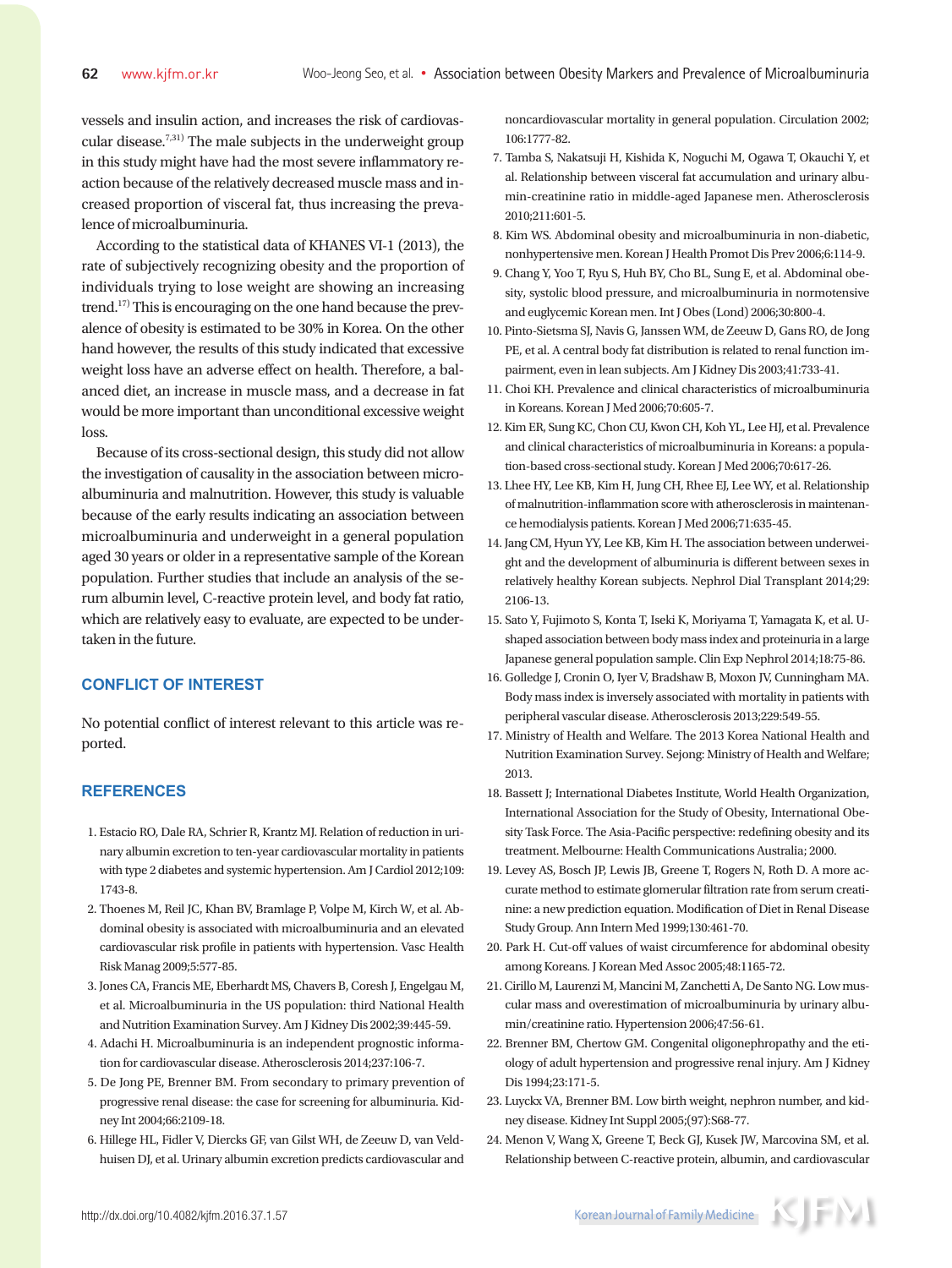vessels and insulin action, and increases the risk of cardiovascular disease.<sup>7,31)</sup> The male subjects in the underweight group in this study might have had the most severe inflammatory reaction because of the relatively decreased muscle mass and increased proportion of visceral fat, thus increasing the prevalence of microalbuminuria.

According to the statistical data of KHANES VI-1 (2013), the rate of subjectively recognizing obesity and the proportion of individuals trying to lose weight are showing an increasing trend.<sup>17)</sup> This is encouraging on the one hand because the prevalence of obesity is estimated to be 30% in Korea. On the other hand however, the results of this study indicated that excessive weight loss have an adverse effect on health. Therefore, a balanced diet, an increase in muscle mass, and a decrease in fat would be more important than unconditional excessive weight loss.

Because of its cross-sectional design, this study did not allow the investigation of causality in the association between microalbuminuria and malnutrition. However, this study is valuable because of the early results indicating an association between microalbuminuria and underweight in a general population aged 30 years or older in a representative sample of the Korean population. Further studies that include an analysis of the serum albumin level, C-reactive protein level, and body fat ratio, which are relatively easy to evaluate, are expected to be undertaken in the future.

# **CONFLICT OF INTEREST**

No potential conflict of interest relevant to this article was reported.

### **REFERENCES**

- 1. Estacio RO, Dale RA, Schrier R, Krantz MJ. Relation of reduction in urinary albumin excretion to ten-year cardiovascular mortality in patients with type 2 diabetes and systemic hypertension. Am J Cardiol 2012;109: 1743-8.
- 2. Thoenes M, Reil JC, Khan BV, Bramlage P, Volpe M, Kirch W, et al. Abdominal obesity is associated with microalbuminuria and an elevated cardiovascular risk profile in patients with hypertension. Vasc Health Risk Manag 2009;5:577-85.
- 3. Jones CA, Francis ME, Eberhardt MS, Chavers B, Coresh J, Engelgau M, et al. Microalbuminuria in the US population: third National Health and Nutrition Examination Survey. Am J Kidney Dis 2002;39:445-59.
- 4. Adachi H. Microalbuminuria is an independent prognostic information for cardiovascular disease. Atherosclerosis 2014;237:106-7.
- 5. De Jong PE, Brenner BM. From secondary to primary prevention of progressive renal disease: the case for screening for albuminuria. Kidney Int 2004;66:2109-18.
- 6. Hillege HL, Fidler V, Diercks GF, van Gilst WH, de Zeeuw D, van Veldhuisen DJ, et al. Urinary albumin excretion predicts cardiovascular and

noncardiovascular mortality in general population. Circulation 2002; 106:1777-82.

- 7. Tamba S, Nakatsuji H, Kishida K, Noguchi M, Ogawa T, Okauchi Y, et al. Relationship between visceral fat accumulation and urinary albumin-creatinine ratio in middle-aged Japanese men. Atherosclerosis 2010;211:601-5.
- 8. Kim WS. Abdominal obesity and microalbuminuria in non-diabetic, nonhypertensive men. Korean J Health Promot Dis Prev 2006;6:114-9.
- 9. Chang Y, Yoo T, Ryu S, Huh BY, Cho BL, Sung E, et al. Abdominal obesity, systolic blood pressure, and microalbuminuria in normotensive and euglycemic Korean men. Int J Obes (Lond) 2006;30:800-4.
- 10. Pinto-Sietsma SJ, Navis G, Janssen WM, de Zeeuw D, Gans RO, de Jong PE, et al. A central body fat distribution is related to renal function impairment, even in lean subjects. Am J Kidney Dis 2003;41:733-41.
- 11. Choi KH. Prevalence and clinical characteristics of microalbuminuria in Koreans. Korean J Med 2006;70:605-7.
- 12. Kim ER, Sung KC, Chon CU, Kwon CH, Koh YL, Lee HJ, et al. Prevalence and clinical characteristics of microalbuminuria in Koreans: a population-based cross-sectional study. Korean J Med 2006;70:617-26.
- 13. Lhee HY, Lee KB, Kim H, Jung CH, Rhee EJ, Lee WY, et al. Relationship of malnutrition-inflammation score with atherosclerosis in maintenance hemodialysis patients. Korean J Med 2006;71:635-45.
- 14. Jang CM, Hyun YY, Lee KB, Kim H. The association between underweight and the development of albuminuria is different between sexes in relatively healthy Korean subjects. Nephrol Dial Transplant 2014;29: 2106-13.
- 15. Sato Y, Fujimoto S, Konta T, Iseki K, Moriyama T, Yamagata K, et al. Ushaped association between body mass index and proteinuria in a large Japanese general population sample. Clin Exp Nephrol 2014;18:75-86.
- 16. Golledge J, Cronin O, Iyer V, Bradshaw B, Moxon JV, Cunningham MA. Body mass index is inversely associated with mortality in patients with peripheral vascular disease. Atherosclerosis 2013;229:549-55.
- 17. Ministry of Health and Welfare. The 2013 Korea National Health and Nutrition Examination Survey. Sejong: Ministry of Health and Welfare; 2013.
- 18. Bassett J; International Diabetes Institute, World Health Organization, International Association for the Study of Obesity, International Obesity Task Force. The Asia-Pacific perspective: redefining obesity and its treatment. Melbourne: Health Communications Australia; 2000.
- 19. Levey AS, Bosch JP, Lewis JB, Greene T, Rogers N, Roth D. A more accurate method to estimate glomerular filtration rate from serum creatinine: a new prediction equation. Modification of Diet in Renal Disease Study Group. Ann Intern Med 1999;130:461-70.
- 20. Park H. Cut-off values of waist circumference for abdominal obesity among Koreans. J Korean Med Assoc 2005;48:1165-72.
- 21. Cirillo M, Laurenzi M, Mancini M, Zanchetti A, De Santo NG. Low muscular mass and overestimation of microalbuminuria by urinary albumin/creatinine ratio. Hypertension 2006;47:56-61.
- 22. Brenner BM, Chertow GM. Congenital oligonephropathy and the etiology of adult hypertension and progressive renal injury. Am J Kidney Dis 1994;23:171-5.
- 23. Luyckx VA, Brenner BM. Low birth weight, nephron number, and kidney disease. Kidney Int Suppl 2005;(97):S68-77.
- 24. Menon V, Wang X, Greene T, Beck GJ, Kusek JW, Marcovina SM, et al. Relationship between C-reactive protein, albumin, and cardiovascular